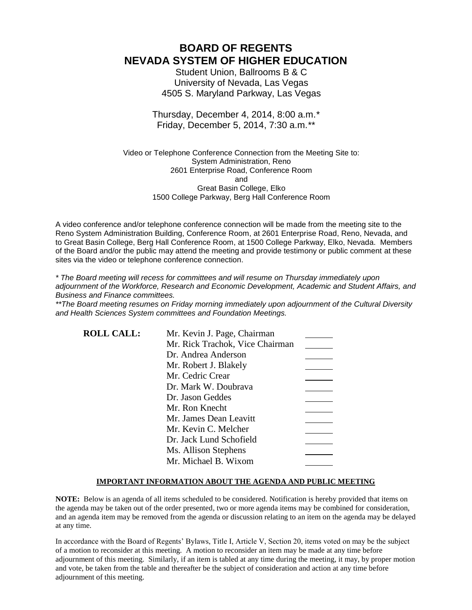# **BOARD OF REGENTS NEVADA SYSTEM OF HIGHER EDUCATION**

Student Union, Ballrooms B & C University of Nevada, Las Vegas 4505 S. Maryland Parkway, Las Vegas

### Thursday, December 4, 2014, 8:00 a.m.*\** Friday, December 5, 2014, 7:30 a.m.*\*\**

Video or Telephone Conference Connection from the Meeting Site to: System Administration, Reno 2601 Enterprise Road, Conference Room and Great Basin College, Elko 1500 College Parkway, Berg Hall Conference Room

A video conference and/or telephone conference connection will be made from the meeting site to the Reno System Administration Building, Conference Room, at 2601 Enterprise Road, Reno, Nevada, and to Great Basin College, Berg Hall Conference Room, at 1500 College Parkway, Elko, Nevada. Members of the Board and/or the public may attend the meeting and provide testimony or public comment at these sites via the video or telephone conference connection.

*\* The Board meeting will recess for committees and will resume on Thursday immediately upon adjournment of the Workforce, Research and Economic Development, Academic and Student Affairs, and Business and Finance committees.* 

*\*\*The Board meeting resumes on Friday morning immediately upon adjournment of the Cultural Diversity and Health Sciences System committees and Foundation Meetings.*

| <b>ROLL CALL:</b> | Mr. Kevin J. Page, Chairman     |  |
|-------------------|---------------------------------|--|
|                   | Mr. Rick Trachok, Vice Chairman |  |
|                   | Dr. Andrea Anderson             |  |
|                   | Mr. Robert J. Blakely           |  |
|                   | Mr. Cedric Crear                |  |
|                   | Dr. Mark W. Doubrava            |  |
|                   | Dr. Jason Geddes                |  |
|                   | Mr. Ron Knecht                  |  |
|                   | Mr. James Dean Leavitt          |  |
|                   | Mr. Kevin C. Melcher            |  |
|                   | Dr. Jack Lund Schofield         |  |
|                   | Ms. Allison Stephens            |  |
|                   | Mr. Michael B. Wixom            |  |

### **IMPORTANT INFORMATION ABOUT THE AGENDA AND PUBLIC MEETING**

**NOTE:** Below is an agenda of all items scheduled to be considered. Notification is hereby provided that items on the agenda may be taken out of the order presented, two or more agenda items may be combined for consideration, and an agenda item may be removed from the agenda or discussion relating to an item on the agenda may be delayed at any time.

In accordance with the Board of Regents' Bylaws, Title I, Article V, Section 20, items voted on may be the subject of a motion to reconsider at this meeting. A motion to reconsider an item may be made at any time before adjournment of this meeting. Similarly, if an item is tabled at any time during the meeting, it may, by proper motion and vote, be taken from the table and thereafter be the subject of consideration and action at any time before adjournment of this meeting.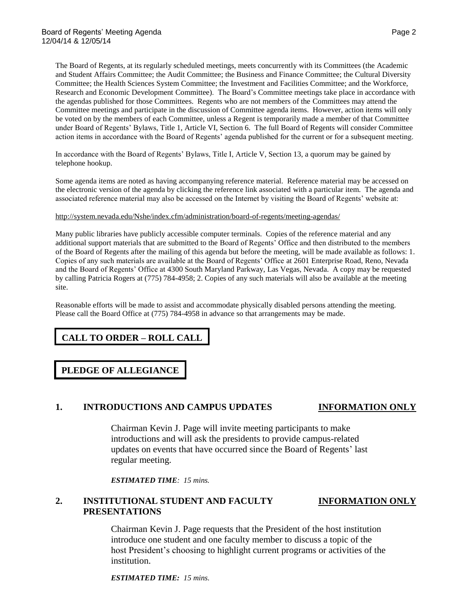The Board of Regents, at its regularly scheduled meetings, meets concurrently with its Committees (the Academic and Student Affairs Committee; the Audit Committee; the Business and Finance Committee; the Cultural Diversity Committee; the Health Sciences System Committee; the Investment and Facilities Committee; and the Workforce, Research and Economic Development Committee). The Board's Committee meetings take place in accordance with the agendas published for those Committees. Regents who are not members of the Committees may attend the Committee meetings and participate in the discussion of Committee agenda items. However, action items will only be voted on by the members of each Committee, unless a Regent is temporarily made a member of that Committee under Board of Regents' Bylaws, Title 1, Article VI, Section 6. The full Board of Regents will consider Committee action items in accordance with the Board of Regents' agenda published for the current or for a subsequent meeting.

In accordance with the Board of Regents' Bylaws, Title I, Article V, Section 13, a quorum may be gained by telephone hookup.

Some agenda items are noted as having accompanying reference material. Reference material may be accessed on the electronic version of the agenda by clicking the reference link associated with a particular item. The agenda and associated reference material may also be accessed on the Internet by visiting the Board of Regents' website at:

### <http://system.nevada.edu/Nshe/index.cfm/administration/board-of-regents/meeting-agendas/>

Many public libraries have publicly accessible computer terminals. Copies of the reference material and any additional support materials that are submitted to the Board of Regents' Office and then distributed to the members of the Board of Regents after the mailing of this agenda but before the meeting, will be made available as follows: 1. Copies of any such materials are available at the Board of Regents' Office at 2601 Enterprise Road, Reno, Nevada and the Board of Regents' Office at 4300 South Maryland Parkway, Las Vegas, Nevada. A copy may be requested by calling Patricia Rogers at (775) 784-4958; 2. Copies of any such materials will also be available at the meeting site.

Reasonable efforts will be made to assist and accommodate physically disabled persons attending the meeting. Please call the Board Office at (775) 784-4958 in advance so that arrangements may be made.

# **CALL TO ORDER – ROLL CALL**

# **PLEDGE OF ALLEGIANCE**

### **1. INTRODUCTIONS AND CAMPUS UPDATES INFORMATION ONLY**

Chairman Kevin J. Page will invite meeting participants to make introductions and will ask the presidents to provide campus-related updates on events that have occurred since the Board of Regents' last regular meeting.

*ESTIMATED TIME: 15 mins.*

## **2. INSTITUTIONAL STUDENT AND FACULTY INFORMATION ONLY PRESENTATIONS**

Chairman Kevin J. Page requests that the President of the host institution introduce one student and one faculty member to discuss a topic of the host President's choosing to highlight current programs or activities of the institution.

*ESTIMATED TIME: 15 mins.*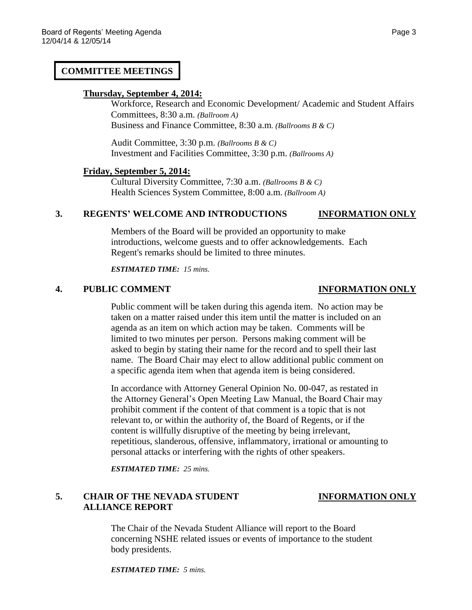### **COMMITTEE MEETINGS**

### **Thursday, September 4, 2014:**

Workforce, Research and Economic Development/ Academic and Student Affairs Committees, 8:30 a.m. *(Ballroom A)*  Business and Finance Committee, 8:30 a.m*. (Ballrooms B & C)*

Audit Committee, 3:30 p.m. *(Ballrooms B & C)*  Investment and Facilities Committee, 3:30 p.m. *(Ballrooms A)*

### **Friday, September 5, 2014:**

Cultural Diversity Committee, 7:30 a.m. *(Ballrooms B & C)* Health Sciences System Committee, 8:00 a.m. *(Ballroom A)*

### **3. REGENTS' WELCOME AND INTRODUCTIONS INFORMATION ONLY**

Members of the Board will be provided an opportunity to make introductions, welcome guests and to offer acknowledgements. Each Regent's remarks should be limited to three minutes.

*ESTIMATED TIME: 15 mins.*

### **4. PUBLIC COMMENT INFORMATION ONLY**

Public comment will be taken during this agenda item. No action may be taken on a matter raised under this item until the matter is included on an agenda as an item on which action may be taken. Comments will be limited to two minutes per person. Persons making comment will be asked to begin by stating their name for the record and to spell their last name. The Board Chair may elect to allow additional public comment on a specific agenda item when that agenda item is being considered.

In accordance with Attorney General Opinion No. 00-047, as restated in the Attorney General's Open Meeting Law Manual, the Board Chair may prohibit comment if the content of that comment is a topic that is not relevant to, or within the authority of, the Board of Regents, or if the content is willfully disruptive of the meeting by being irrelevant, repetitious, slanderous, offensive, inflammatory, irrational or amounting to personal attacks or interfering with the rights of other speakers.

*ESTIMATED TIME: 25 mins.*

## **5. CHAIR OF THE NEVADA STUDENT INFORMATION ONLY ALLIANCE REPORT**

The Chair of the Nevada Student Alliance will report to the Board concerning NSHE related issues or events of importance to the student body presidents.

*ESTIMATED TIME: 5 mins.*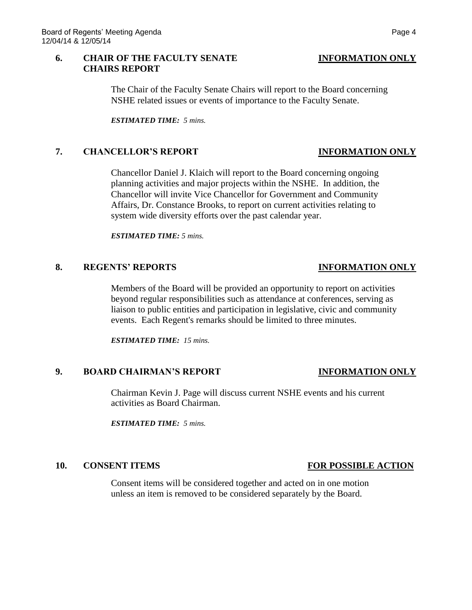### **6. CHAIR OF THE FACULTY SENATE INFORMATION ONLY CHAIRS REPORT**

The Chair of the Faculty Senate Chairs will report to the Board concerning

NSHE related issues or events of importance to the Faculty Senate.

*ESTIMATED TIME: 5 mins.*

### **7. CHANCELLOR'S REPORT INFORMATION ONLY**

Chancellor Daniel J. Klaich will report to the Board concerning ongoing planning activities and major projects within the NSHE. In addition, the Chancellor will invite Vice Chancellor for Government and Community Affairs, Dr. Constance Brooks, to report on current activities relating to system wide diversity efforts over the past calendar year.

*ESTIMATED TIME: 5 mins.*

### **8. REGENTS' REPORTS INFORMATION ONLY**

Members of the Board will be provided an opportunity to report on activities beyond regular responsibilities such as attendance at conferences, serving as liaison to public entities and participation in legislative, civic and community events. Each Regent's remarks should be limited to three minutes.

*ESTIMATED TIME: 15 mins.*

### **9. BOARD CHAIRMAN'S REPORT INFORMATION ONLY**

Chairman Kevin J. Page will discuss current NSHE events and his current activities as Board Chairman.

*ESTIMATED TIME: 5 mins.*

Consent items will be considered together and acted on in one motion unless an item is removed to be considered separately by the Board.

### **10. CONSENT ITEMS FOR POSSIBLE ACTION**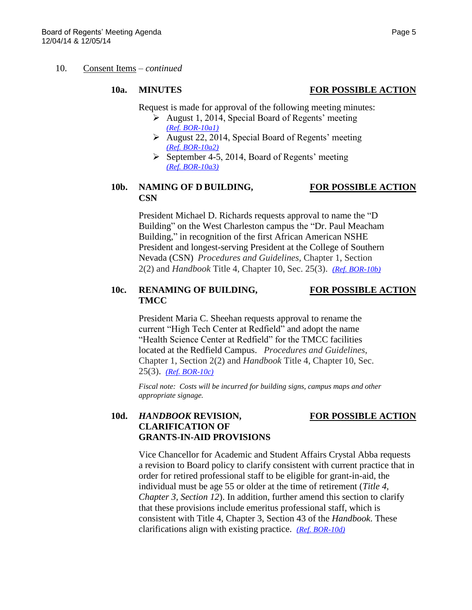### 10. Consent Items – *continued*

### **10a. MINUTES FOR POSSIBLE ACTION**

Request is made for approval of the following meeting minutes:

- $\triangleright$  August 1, 2014, Special Board of Regents' meeting *[\(Ref. BOR-10a1\)](http://system.nevada.edu/tasks/sites/Nshe/assets/File/BoardOfRegents/Agendas/2014/dec-mtgs/bor-refs/10a1.pdf)*
- $\triangleright$  August 22, 2014, Special Board of Regents' meeting *[\(Ref. BOR-10a2\)](http://system.nevada.edu/tasks/sites/Nshe/assets/File/BoardOfRegents/Agendas/2014/dec-mtgs/bor-refs/10a2.pdf)*
- $\triangleright$  September 4-5, 2014, Board of Regents' meeting *[\(Ref. BOR-10a3\)](http://system.nevada.edu/tasks/sites/Nshe/assets/File/BoardOfRegents/Agendas/2014/dec-mtgs/bor-refs/10a3.pdf)*

### **10b. NAMING OF D BUILDING, FOR POSSIBLE ACTION CSN**

President Michael D. Richards requests approval to name the "D Building" on the West Charleston campus the "Dr. Paul Meacham Building," in recognition of the first African American NSHE President and longest-serving President at the College of Southern Nevada (CSN) *Procedures and Guidelines*, Chapter 1, Section 2(2) and *Handbook* Title 4, Chapter 10, Sec. 25(3). *[\(Ref. BOR-10b\)](http://system.nevada.edu/tasks/sites/Nshe/assets/File/BoardOfRegents/Agendas/2014/dec-mtgs/bor-refs/10b.pdf)*

### **10c. RENAMING OF BUILDING, FOR POSSIBLE ACTION TMCC**

President Maria C. Sheehan requests approval to rename the current "High Tech Center at Redfield" and adopt the name "Health Science Center at Redfield" for the TMCC facilities located at the Redfield Campus. *Procedures and Guidelines*, Chapter 1, Section 2(2) and *Handbook* Title 4, Chapter 10, Sec. 25(3). *[\(Ref. BOR-10c\)](http://system.nevada.edu/tasks/sites/Nshe/assets/File/BoardOfRegents/Agendas/2014/dec-mtgs/bor-refs/10c.pdf)*

*Fiscal note: Costs will be incurred for building signs, campus maps and other appropriate signage.*

## **10d.** *HANDBOOK* **REVISION, FOR POSSIBLE ACTION CLARIFICATION OF GRANTS-IN-AID PROVISIONS**

Vice Chancellor for Academic and Student Affairs Crystal Abba requests a revision to Board policy to clarify consistent with current practice that in order for retired professional staff to be eligible for grant-in-aid, the individual must be age 55 or older at the time of retirement (*Title 4, Chapter 3, Section 12*). In addition, further amend this section to clarify that these provisions include emeritus professional staff, which is consistent with Title 4, Chapter 3, Section 43 of the *Handbook*. These clarifications align with existing practice. *[\(Ref. BOR-10d\)](http://system.nevada.edu/tasks/sites/Nshe/assets/File/BoardOfRegents/Agendas/2014/dec-mtgs/bor-refs/10d.pdf)*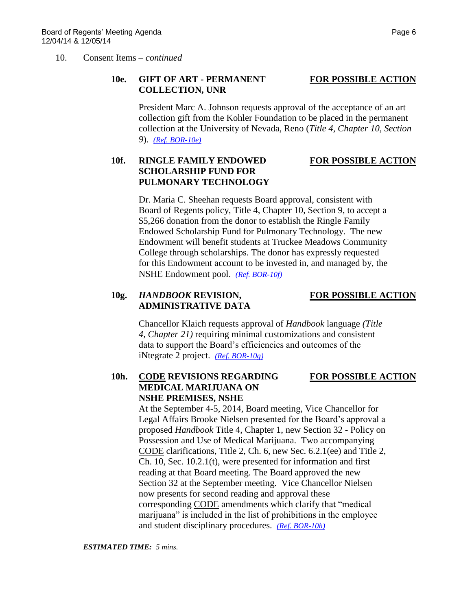### 10. Consent Items – *continued*

## **10e. GIFT OF ART - PERMANENT FOR POSSIBLE ACTION COLLECTION, UNR**

President Marc A. Johnson requests approval of the acceptance of an art collection gift from the Kohler Foundation to be placed in the permanent collection at the University of Nevada, Reno (*Title 4, Chapter 10, Section 9*). *[\(Ref. BOR-10e\)](http://system.nevada.edu/tasks/sites/Nshe/assets/File/BoardOfRegents/Agendas/2014/dec-mtgs/bor-refs/10e.pdf)*

# **10f. RINGLE FAMILY ENDOWED FOR POSSIBLE ACTION SCHOLARSHIP FUND FOR PULMONARY TECHNOLOGY**

Dr. Maria C. Sheehan requests Board approval, consistent with Board of Regents policy, Title 4, Chapter 10, Section 9, to accept a \$5,266 donation from the donor to establish the Ringle Family Endowed Scholarship Fund for Pulmonary Technology. The new Endowment will benefit students at Truckee Meadows Community College through scholarships. The donor has expressly requested for this Endowment account to be invested in, and managed by, the NSHE Endowment pool. *[\(Ref. BOR-10f\)](http://system.nevada.edu/tasks/sites/Nshe/assets/File/BoardOfRegents/Agendas/2014/dec-mtgs/bor-refs/10f.pdf)*

# **10g.** *HANDBOOK* **REVISION, FOR POSSIBLE ACTION ADMINISTRATIVE DATA**

Chancellor Klaich requests approval of *Handbook* language *(Title 4, Chapter 21)* requiring minimal customizations and consistent data to support the Board's efficiencies and outcomes of the iNtegrate 2 project. *[\(Ref. BOR-10g\)](http://system.nevada.edu/tasks/sites/Nshe/assets/File/BoardOfRegents/Agendas/2014/dec-mtgs/bor-refs/10g.pdf)*

## **10h. CODE REVISIONS REGARDING FOR POSSIBLE ACTION MEDICAL MARIJUANA ON NSHE PREMISES, NSHE**

At the September 4-5, 2014, Board meeting, Vice Chancellor for Legal Affairs Brooke Nielsen presented for the Board's approval a proposed *Handbook* Title 4, Chapter 1, new Section 32 - Policy on Possession and Use of Medical Marijuana. Two accompanying CODE clarifications, Title 2, Ch. 6, new Sec. 6.2.1(ee) and Title 2, Ch. 10, Sec. 10.2.1(t), were presented for information and first reading at that Board meeting. The Board approved the new Section 32 at the September meeting. Vice Chancellor Nielsen now presents for second reading and approval these corresponding CODE amendments which clarify that "medical marijuana" is included in the list of prohibitions in the employee and student disciplinary procedures. *[\(Ref. BOR-10h\)](http://system.nevada.edu/tasks/sites/Nshe/assets/File/BoardOfRegents/Agendas/2014/dec-mtgs/bor-refs/10h.pdf)*

*ESTIMATED TIME: 5 mins.*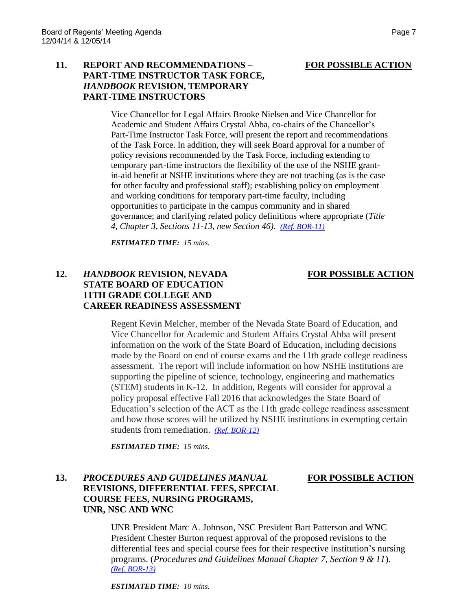### **11. REPORT AND RECOMMENDATIONS – FOR POSSIBLE ACTION PART-TIME INSTRUCTOR TASK FORCE,** *HANDBOOK* **REVISION, TEMPORARY PART-TIME INSTRUCTORS**

Vice Chancellor for Legal Affairs Brooke Nielsen and Vice Chancellor for Academic and Student Affairs Crystal Abba, co-chairs of the Chancellor's Part-Time Instructor Task Force, will present the report and recommendations of the Task Force. In addition, they will seek Board approval for a number of policy revisions recommended by the Task Force, including extending to temporary part-time instructors the flexibility of the use of the NSHE grantin-aid benefit at NSHE institutions where they are not teaching (as is the case for other faculty and professional staff); establishing policy on employment and working conditions for temporary part-time faculty, including opportunities to participate in the campus community and in shared governance; and clarifying related policy definitions where appropriate (*Title 4, Chapter 3, Sections 11-13, new Section 46)*. *[\(Ref. BOR-11\)](http://system.nevada.edu/tasks/sites/Nshe/assets/File/BoardOfRegents/Agendas/2014/dec-mtgs/bor-refs/11.pdf)*

*ESTIMATED TIME: 15 mins.*

## 12. *HANDBOOK* **REVISION, NEVADA <b>FOR POSSIBLE ACTION STATE BOARD OF EDUCATION 11TH GRADE COLLEGE AND CAREER READINESS ASSESSMENT**

Regent Kevin Melcher, member of the Nevada State Board of Education, and Vice Chancellor for Academic and Student Affairs Crystal Abba will present information on the work of the State Board of Education, including decisions made by the Board on end of course exams and the 11th grade college readiness assessment. The report will include information on how NSHE institutions are supporting the pipeline of science, technology, engineering and mathematics (STEM) students in K-12. In addition, Regents will consider for approval a policy proposal effective Fall 2016 that acknowledges the State Board of Education's selection of the ACT as the 11th grade college readiness assessment and how those scores will be utilized by NSHE institutions in exempting certain students from remediation. *[\(Ref. BOR-12\)](http://system.nevada.edu/tasks/sites/Nshe/assets/File/BoardOfRegents/Agendas/2014/dec-mtgs/bor-refs/12.pdf)*

*ESTIMATED TIME: 15 mins.*

# **13.** *PROCEDURES AND GUIDELINES MANUAL* **FOR POSSIBLE ACTION REVISIONS, DIFFERENTIAL FEES, SPECIAL COURSE FEES, NURSING PROGRAMS, UNR, NSC AND WNC**

UNR President Marc A. Johnson, NSC President Bart Patterson and WNC President Chester Burton request approval of the proposed revisions to the differential fees and special course fees for their respective institution's nursing programs. (*Procedures and Guidelines Manual Chapter 7, Section 9 & 11*). *[\(Ref. BOR-13\)](http://system.nevada.edu/tasks/sites/Nshe/assets/File/BoardOfRegents/Agendas/2014/dec-mtgs/bor-refs/13.pdf)*

*ESTIMATED TIME: 10 mins.*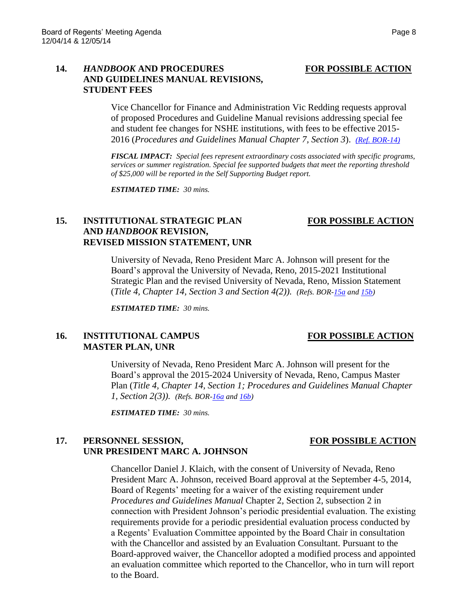## **14.** *HANDBOOK* **AND PROCEDURES FOR POSSIBLE ACTION AND GUIDELINES MANUAL REVISIONS, STUDENT FEES**

Vice Chancellor for Finance and Administration Vic Redding requests approval of proposed Procedures and Guideline Manual revisions addressing special fee and student fee changes for NSHE institutions, with fees to be effective 2015- 2016 (*Procedures and Guidelines Manual Chapter 7, Section 3*). *[\(Ref. BOR-14\)](http://system.nevada.edu/tasks/sites/Nshe/assets/File/BoardOfRegents/Agendas/2014/dec-mtgs/bor-refs/14.pdf)*

*FISCAL IMPACT: Special fees represent extraordinary costs associated with specific programs, services or summer registration. Special fee supported budgets that meet the reporting threshold of \$25,000 will be reported in the Self Supporting Budget report.*

*ESTIMATED TIME: 30 mins.*

**REVISED MISSION STATEMENT, UNR**

**AND** *HANDBOOK* **REVISION,** 

# **15. INSTITUTIONAL STRATEGIC PLAN FOR POSSIBLE ACTION**

# University of Nevada, Reno President Marc A. Johnson will present for the Board's approval the University of Nevada, Reno, 2015-2021 Institutional Strategic Plan and the revised University of Nevada, Reno, Mission Statement (*Title 4, Chapter 14, Section 3 and Section 4(2)). (Refs. BOR[-15a](http://system.nevada.edu/tasks/sites/Nshe/assets/File/BoardOfRegents/Agendas/2014/dec-mtgs/bor-refs/15a.pdf) and [15b\)](http://system.nevada.edu/tasks/sites/Nshe/assets/File/BoardOfRegents/Agendas/2014/dec-mtgs/bor-refs/15b.pdf)*

*ESTIMATED TIME: 30 mins.*

## **16. INSTITUTIONAL CAMPUS FOR POSSIBLE ACTION MASTER PLAN, UNR**

University of Nevada, Reno President Marc A. Johnson will present for the Board's approval the 2015-2024 University of Nevada, Reno, Campus Master Plan (*Title 4, Chapter 14, Section 1; Procedures and Guidelines Manual Chapter 1, Section 2(3)). (Refs. BOR[-16a](http://system.nevada.edu/tasks/sites/Nshe/assets/File/BoardOfRegents/Agendas/2014/dec-mtgs/bor-refs/16a.pdf) an[d 16b\)](http://system.nevada.edu/tasks/sites/Nshe/assets/File/BoardOfRegents/Agendas/2014/dec-mtgs/bor-refs/16b.pdf)*

*ESTIMATED TIME: 30 mins.*

## 17. **PERSONNEL SESSION, FOR POSSIBLE ACTION UNR PRESIDENT MARC A. JOHNSON**

Chancellor Daniel J. Klaich, with the consent of University of Nevada, Reno President Marc A. Johnson, received Board approval at the September 4-5, 2014, Board of Regents' meeting for a waiver of the existing requirement under *Procedures and Guidelines Manual* Chapter 2, Section 2, subsection 2 in connection with President Johnson's periodic presidential evaluation. The existing requirements provide for a periodic presidential evaluation process conducted by a Regents' Evaluation Committee appointed by the Board Chair in consultation with the Chancellor and assisted by an Evaluation Consultant. Pursuant to the Board-approved waiver, the Chancellor adopted a modified process and appointed an evaluation committee which reported to the Chancellor, who in turn will report to the Board.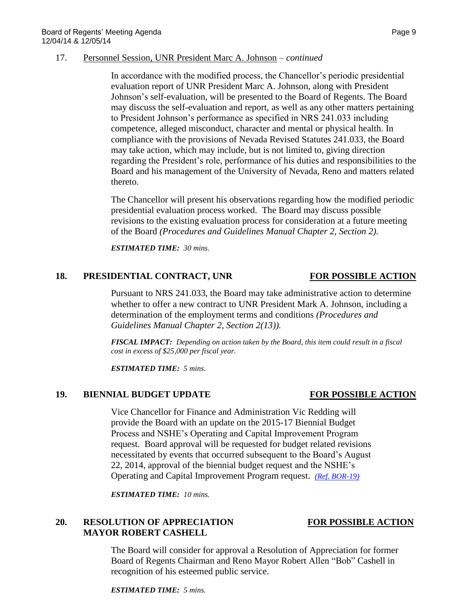### 17. Personnel Session, UNR President Marc A. Johnson – *continued*

In accordance with the modified process, the Chancellor's periodic presidential evaluation report of UNR President Marc A. Johnson, along with President Johnson's self-evaluation, will be presented to the Board of Regents. The Board may discuss the self-evaluation and report, as well as any other matters pertaining to President Johnson's performance as specified in NRS 241.033 including competence, alleged misconduct, character and mental or physical health. In compliance with the provisions of Nevada Revised Statutes 241.033, the Board may take action, which may include, but is not limited to, giving direction regarding the President's role, performance of his duties and responsibilities to the Board and his management of the University of Nevada, Reno and matters related thereto.

The Chancellor will present his observations regarding how the modified periodic presidential evaluation process worked. The Board may discuss possible revisions to the existing evaluation process for consideration at a future meeting of the Board *(Procedures and Guidelines Manual Chapter 2, Section 2).*

*ESTIMATED TIME: 30 mins.*

## 18. **PRESIDENTIAL CONTRACT, UNR** FOR POSSIBLE ACTION

Pursuant to NRS 241.033, the Board may take administrative action to determine whether to offer a new contract to UNR President Mark A. Johnson, including a determination of the employment terms and conditions *(Procedures and Guidelines Manual Chapter 2, Section 2(13)).*

*FISCAL IMPACT: Depending on action taken by the Board, this item could result in a fiscal cost in excess of \$25,000 per fiscal year.*

*ESTIMATED TIME: 5 mins.*

# **19. BIENNIAL BUDGET UPDATE FOR POSSIBLE ACTION**

Vice Chancellor for Finance and Administration Vic Redding will provide the Board with an update on the 2015-17 Biennial Budget Process and NSHE's Operating and Capital Improvement Program request. Board approval will be requested for budget related revisions necessitated by events that occurred subsequent to the Board's August 22, 2014, approval of the biennial budget request and the NSHE's Operating and Capital Improvement Program request. *[\(Ref. BOR-19\)](http://system.nevada.edu/tasks/sites/Nshe/assets/File/BoardOfRegents/Agendas/2014/dec-mtgs/bor-refs/19.pdf)*

*ESTIMATED TIME: 10 mins.*

# **20. RESOLUTION OF APPRECIATION FOR POSSIBLE ACTION MAYOR ROBERT CASHELL**

The Board will consider for approval a Resolution of Appreciation for former Board of Regents Chairman and Reno Mayor Robert Allen "Bob" Cashell in recognition of his esteemed public service.

*ESTIMATED TIME: 5 mins.*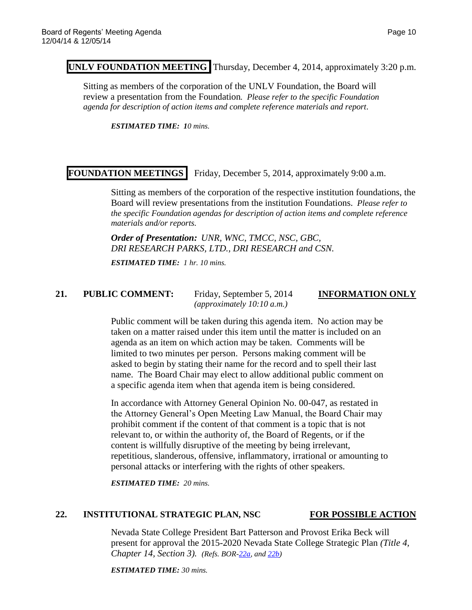## **UNLV FOUNDATION MEETING** Thursday, December 4, 2014, approximately 3:20 p.m.

Sitting as members of the corporation of the UNLV Foundation, the Board will review a presentation from the Foundation*. Please refer to the specific Foundation agenda for description of action items and complete reference materials and report.*

*ESTIMATED TIME: 10 mins.*

# **FOUNDATION MEETINGS** Friday, December 5, 2014, approximately 9:00 a.m.

Sitting as members of the corporation of the respective institution foundations, the Board will review presentations from the institution Foundations. *Please refer to the specific Foundation agendas for description of action items and complete reference materials and/or reports.*

*Order of Presentation: UNR, WNC, TMCC, NSC, GBC, DRI RESEARCH PARKS, LTD., DRI RESEARCH and CSN.* 

*ESTIMATED TIME: 1 hr. 10 mins.*

### **21. PUBLIC COMMENT:** Friday, September 5, 2014 **INFORMATION ONLY**

*(approximately 10:10 a.m.)*

Public comment will be taken during this agenda item. No action may be taken on a matter raised under this item until the matter is included on an agenda as an item on which action may be taken. Comments will be limited to two minutes per person. Persons making comment will be asked to begin by stating their name for the record and to spell their last name. The Board Chair may elect to allow additional public comment on a specific agenda item when that agenda item is being considered.

In accordance with Attorney General Opinion No. 00-047, as restated in the Attorney General's Open Meeting Law Manual, the Board Chair may prohibit comment if the content of that comment is a topic that is not relevant to, or within the authority of, the Board of Regents, or if the content is willfully disruptive of the meeting by being irrelevant, repetitious, slanderous, offensive, inflammatory, irrational or amounting to personal attacks or interfering with the rights of other speakers.

*ESTIMATED TIME: 20 mins.*

### **22. INSTITUTIONAL STRATEGIC PLAN, NSC FOR POSSIBLE ACTION**

Nevada State College President Bart Patterson and Provost Erika Beck will present for approval the 2015-2020 Nevada State College Strategic Plan *(Title 4, Chapter 14, Section 3). (Refs. BOR[-22a,](http://system.nevada.edu/tasks/sites/Nshe/assets/File/BoardOfRegents/Agendas/2014/dec-mtgs/bor-refs/22a.pdf) an[d 22b\)](http://system.nevada.edu/tasks/sites/Nshe/assets/File/BoardOfRegents/Agendas/2014/dec-mtgs/bor-refs/22b.pdf)*

*ESTIMATED TIME: 30 mins.*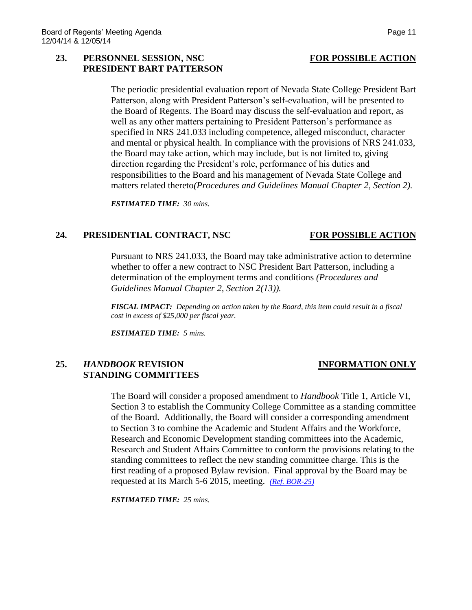### 23. **PERSONNEL SESSION, NSC** FOR POSSIBLE ACTION **PRESIDENT BART PATTERSON**

The periodic presidential evaluation report of Nevada State College President Bart Patterson, along with President Patterson's self-evaluation, will be presented to the Board of Regents. The Board may discuss the self-evaluation and report, as well as any other matters pertaining to President Patterson's performance as specified in NRS 241.033 including competence, alleged misconduct, character and mental or physical health. In compliance with the provisions of NRS 241.033, the Board may take action, which may include, but is not limited to, giving direction regarding the President's role, performance of his duties and responsibilities to the Board and his management of Nevada State College and matters related thereto*(Procedures and Guidelines Manual Chapter 2, Section 2).*

*ESTIMATED TIME: 30 mins.*

## **24. PRESIDENTIAL CONTRACT, NSC FOR POSSIBLE ACTION**

Pursuant to NRS 241.033, the Board may take administrative action to determine whether to offer a new contract to NSC President Bart Patterson, including a determination of the employment terms and conditions *(Procedures and Guidelines Manual Chapter 2, Section 2(13)).*

*FISCAL IMPACT: Depending on action taken by the Board, this item could result in a fiscal cost in excess of \$25,000 per fiscal year.*

*ESTIMATED TIME: 5 mins.*

## **25.** *HANDBOOK* **REVISION INFORMATION ONLY STANDING COMMITTEES**

The Board will consider a proposed amendment to *Handbook* Title 1, Article VI, Section 3 to establish the Community College Committee as a standing committee of the Board. Additionally, the Board will consider a corresponding amendment to Section 3 to combine the Academic and Student Affairs and the Workforce, Research and Economic Development standing committees into the Academic, Research and Student Affairs Committee to conform the provisions relating to the standing committees to reflect the new standing committee charge. This is the first reading of a proposed Bylaw revision. Final approval by the Board may be requested at its March 5-6 2015, meeting. *[\(Ref. BOR-25\)](http://system.nevada.edu/tasks/sites/Nshe/assets/File/BoardOfRegents/Agendas/2014/dec-mtgs/bor-refs/25.pdf)*

*ESTIMATED TIME: 25 mins.*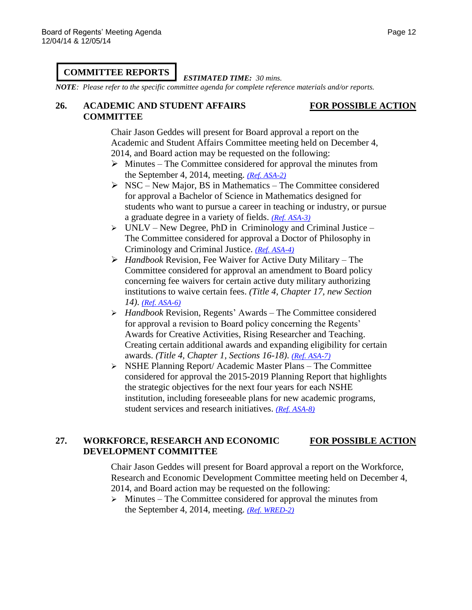# **COMMITTEE REPORTS**

*ESTIMATED TIME: 30 mins.*

*NOTE: Please refer to the specific committee agenda for complete reference materials and/or reports.*

## **26. ACADEMIC AND STUDENT AFFAIRS FOR POSSIBLE ACTION COMMITTEE**

Chair Jason Geddes will present for Board approval a report on the Academic and Student Affairs Committee meeting held on December 4, 2014, and Board action may be requested on the following:

- $\triangleright$  Minutes The Committee considered for approval the minutes from the September 4, 2014, meeting. *[\(Ref. ASA-2\)](http://system.nevada.edu/tasks/sites/Nshe/assets/File/BoardOfRegents/Agendas/2014/dec-mtgs/asa-refs/ASA-2.pdf)*
- $\triangleright$  NSC New Major, BS in Mathematics The Committee considered for approval a Bachelor of Science in Mathematics designed for students who want to pursue a career in teaching or industry, or pursue a graduate degree in a variety of fields. *[\(Ref. ASA-3\)](http://system.nevada.edu/tasks/sites/Nshe/assets/File/BoardOfRegents/Agendas/2014/dec-mtgs/asa-refs/ASA-3.pdf)*
- $\triangleright$  UNLV New Degree, PhD in Criminology and Criminal Justice The Committee considered for approval a Doctor of Philosophy in Criminology and Criminal Justice. *[\(Ref. ASA-4\)](http://system.nevada.edu/tasks/sites/Nshe/assets/File/BoardOfRegents/Agendas/2014/dec-mtgs/asa-refs/ASA-4.pdf)*
- *Handbook* Revision, Fee Waiver for Active Duty Military The Committee considered for approval an amendment to Board policy concerning fee waivers for certain active duty military authorizing institutions to waive certain fees. *(Title 4, Chapter 17, new Section 14)*. *[\(Ref. ASA-6\)](http://system.nevada.edu/tasks/sites/Nshe/assets/File/BoardOfRegents/Agendas/2014/dec-mtgs/asa-refs/ASA-6.pdf)*
- *Handbook* Revision, Regents' Awards The Committee considered for approval a revision to Board policy concerning the Regents' Awards for Creative Activities, Rising Researcher and Teaching. Creating certain additional awards and expanding eligibility for certain awards. *(Title 4, Chapter 1, Sections 16-18)*. *[\(Ref. ASA-7\)](http://system.nevada.edu/tasks/sites/Nshe/assets/File/BoardOfRegents/Agendas/2014/dec-mtgs/asa-refs/ASA-7.pdf)*
- NSHE Planning Report/ Academic Master Plans The Committee considered for approval the 2015-2019 Planning Report that highlights the strategic objectives for the next four years for each NSHE institution, including foreseeable plans for new academic programs, student services and research initiatives. *[\(Ref. ASA-8\)](http://system.nevada.edu/tasks/sites/Nshe/assets/File/BoardOfRegents/Agendas/2014/dec-mtgs/asa-refs/ASA-8.pdf)*

# **27. WORKFORCE, RESEARCH AND ECONOMIC FOR POSSIBLE ACTION DEVELOPMENT COMMITTEE**

Chair Jason Geddes will present for Board approval a report on the Workforce, Research and Economic Development Committee meeting held on December 4, 2014, and Board action may be requested on the following:

 $\triangleright$  Minutes – The Committee considered for approval the minutes from the September 4, 2014, meeting. *[\(Ref. WRED-2\)](http://system.nevada.edu/tasks/sites/Nshe/assets/File/BoardOfRegents/Agendas/2014/dec-mtgs/wred-refs/WRED-2.pdf)*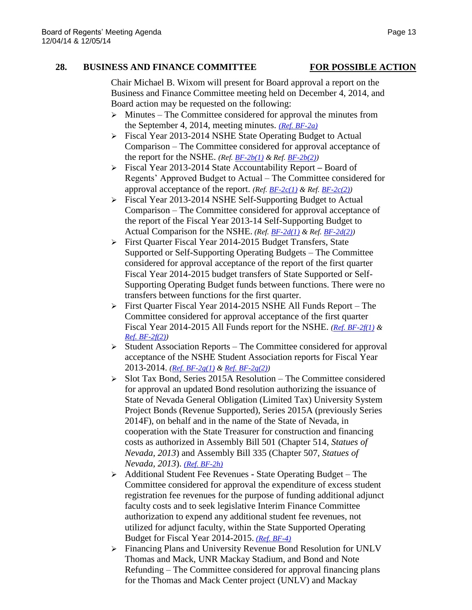### **28. BUSINESS AND FINANCE COMMITTEE FOR POSSIBLE ACTION**

Chair Michael B. Wixom will present for Board approval a report on the Business and Finance Committee meeting held on December 4, 2014, and Board action may be requested on the following:

- $\triangleright$  Minutes The Committee considered for approval the minutes from the September 4, 2014, meeting minutes. *[\(Ref. BF-2a\)](http://system.nevada.edu/tasks/sites/Nshe/assets/File/BoardOfRegents/Agendas/2014/dec-mtgs/bf-refs/BF-2a.pdf)*
- Fiscal Year 2013-2014 NSHE State Operating Budget to Actual Comparison – The Committee considered for approval acceptance of the report for the NSHE. *(Ref. [BF-2b\(1\)](http://system.nevada.edu/tasks/sites/Nshe/assets/File/BoardOfRegents/Agendas/2014/dec-mtgs/bf-refs/BF-2b(1).pdf) & Ref. [BF-2b\(2\)\)](http://system.nevada.edu/tasks/sites/Nshe/assets/File/BoardOfRegents/Agendas/2014/dec-mtgs/bf-refs/BF-2b(2).pdf)*
- Fiscal Year 2013-2014 State Accountability Report **–** Board of Regents' Approved Budget to Actual – The Committee considered for approval acceptance of the report. *(Ref. [BF-2c\(1\)](http://system.nevada.edu/tasks/sites/Nshe/assets/File/BoardOfRegents/Agendas/2014/dec-mtgs/bf-refs/BF-2c(1).pdf) & Ref. [BF-2c\(2\)\)](http://system.nevada.edu/tasks/sites/Nshe/assets/File/BoardOfRegents/Agendas/2014/dec-mtgs/bf-refs/BF-2c(2).pdf)*
- Fiscal Year 2013-2014 NSHE Self**-**Supporting Budget to Actual Comparison – The Committee considered for approval acceptance of the report of the Fiscal Year 2013-14 Self-Supporting Budget to Actual Comparison for the NSHE. *(Ref. [BF-2d\(1\)](http://system.nevada.edu/tasks/sites/Nshe/assets/File/BoardOfRegents/Agendas/2014/dec-mtgs/bf-refs/BF-2d(1).pdf) & Ref. [BF-2d\(2\)\)](http://system.nevada.edu/tasks/sites/Nshe/assets/File/BoardOfRegents/Agendas/2014/dec-mtgs/bf-refs/BF-2d(2).pdf)*
- First Quarter Fiscal Year 2014-2015 Budget Transfers, State Supported or Self**-**Supporting Operating Budgets – The Committee considered for approval acceptance of the report of the first quarter Fiscal Year 2014-2015 budget transfers of State Supported or Self-Supporting Operating Budget funds between functions. There were no transfers between functions for the first quarter.
- First Quarter Fiscal Year 2014-2015 NSHE All Funds Report The Committee considered for approval acceptance of the first quarter Fiscal Year 2014-2015 All Funds report for the NSHE. *[\(Ref. BF-2f\(1\)](http://system.nevada.edu/tasks/sites/Nshe/assets/File/BoardOfRegents/Agendas/2014/dec-mtgs/bf-refs/BF-2f(1).pdf) & [Ref. BF-2f\(2\)\)](http://system.nevada.edu/tasks/sites/Nshe/assets/File/BoardOfRegents/Agendas/2014/dec-mtgs/bf-refs/BF-2f(2).pdf)*
- $\triangleright$  Student Association Reports The Committee considered for approval acceptance of the NSHE Student Association reports for Fiscal Year 2013-2014. *[\(Ref. BF-2g\(1\)](http://system.nevada.edu/tasks/sites/Nshe/assets/File/BoardOfRegents/Agendas/2014/dec-mtgs/bf-refs/BF-2g(1).pdf) [& Ref. BF-2g\(2\)\)](http://system.nevada.edu/tasks/sites/Nshe/assets/File/BoardOfRegents/Agendas/2014/dec-mtgs/bf-refs/BF-2g(2).pdf)*
- $\geq$  Slot Tax Bond, Series 2015A Resolution The Committee considered for approval an updated Bond resolution authorizing the issuance of State of Nevada General Obligation (Limited Tax) University System Project Bonds (Revenue Supported), Series 2015A (previously Series 2014F), on behalf and in the name of the State of Nevada, in cooperation with the State Treasurer for construction and financing costs as authorized in Assembly Bill 501 (Chapter 514, *Statues of Nevada, 2013*) and Assembly Bill 335 (Chapter 507, *Statues of Nevada, 2013*). *[\(Ref. BF-2h\)](http://system.nevada.edu/tasks/sites/Nshe/assets/File/BoardOfRegents/Agendas/2014/dec-mtgs/bf-refs/BF-2h.pdf)*
- Additional Student Fee Revenues **-** State Operating Budget The Committee considered for approval the expenditure of excess student registration fee revenues for the purpose of funding additional adjunct faculty costs and to seek legislative Interim Finance Committee authorization to expend any additional student fee revenues, not utilized for adjunct faculty, within the State Supported Operating Budget for Fiscal Year 2014-2015. *[\(Ref. BF-4\)](http://system.nevada.edu/tasks/sites/Nshe/assets/File/BoardOfRegents/Agendas/2014/dec-mtgs/bf-refs/BF-4.pdf)*
- Financing Plans and University Revenue Bond Resolution for UNLV Thomas and Mack, UNR Mackay Stadium, and Bond and Note Refunding – The Committee considered for approval financing plans for the Thomas and Mack Center project (UNLV) and Mackay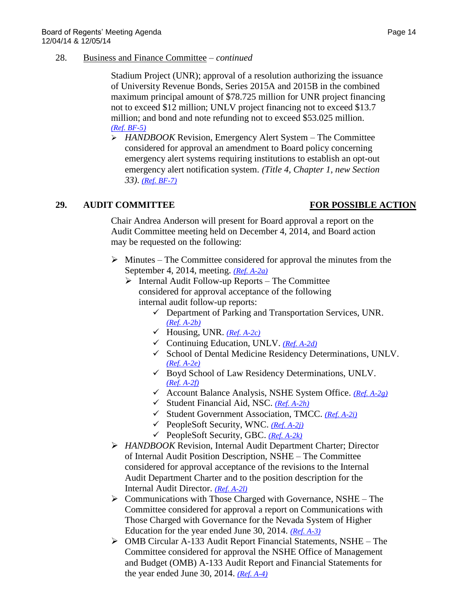### 28. Business and Finance Committee – *continued*

Stadium Project (UNR); approval of a resolution authorizing the issuance of University Revenue Bonds, Series 2015A and 2015B in the combined maximum principal amount of \$78.725 million for UNR project financing not to exceed \$12 million; UNLV project financing not to exceed \$13.7 million; and bond and note refunding not to exceed \$53.025 million. *[\(Ref. BF-5\)](http://system.nevada.edu/tasks/sites/Nshe/assets/File/BoardOfRegents/Agendas/2014/dec-mtgs/bf-refs/BF-5.pdf)*

 *HANDBOOK* Revision, Emergency Alert System – The Committee considered for approval an amendment to Board policy concerning emergency alert systems requiring institutions to establish an opt-out emergency alert notification system. *(Title 4, Chapter 1, new Section 33)*. *[\(Ref. BF-7\)](http://system.nevada.edu/tasks/sites/Nshe/assets/File/BoardOfRegents/Agendas/2014/dec-mtgs/bf-refs/BF-7.pdf)*

# **29. AUDIT COMMITTEE FOR POSSIBLE ACTION**

Chair Andrea Anderson will present for Board approval a report on the Audit Committee meeting held on December 4, 2014, and Board action may be requested on the following:

- $\triangleright$  Minutes The Committee considered for approval the minutes from the September 4, 2014, meeting. *[\(Ref. A-2a\)](http://system.nevada.edu/tasks/sites/Nshe/assets/File/BoardOfRegents/Agendas/2014/dec-mtgs/audit-refs/A-2a.pdf)*
	- $\triangleright$  Internal Audit Follow-up Reports The Committee considered for approval acceptance of the following internal audit follow-up reports:
		- $\checkmark$  Department of Parking and Transportation Services, UNR. *[\(Ref. A-2b\)](http://system.nevada.edu/tasks/sites/Nshe/assets/File/BoardOfRegents/Agendas/2014/dec-mtgs/audit-refs/A-2b.pdf)*
		- Housing, UNR. *[\(Ref. A-2c\)](http://system.nevada.edu/tasks/sites/Nshe/assets/File/BoardOfRegents/Agendas/2014/dec-mtgs/audit-refs/A-2c.pdf)*
		- Continuing Education, UNLV. *[\(Ref. A-2d\)](http://system.nevada.edu/tasks/sites/Nshe/assets/File/BoardOfRegents/Agendas/2014/dec-mtgs/audit-refs/A-2d.pdf)*
		- $\checkmark$  School of Dental Medicine Residency Determinations, UNLV. *[\(Ref. A-2e\)](http://system.nevada.edu/tasks/sites/Nshe/assets/File/BoardOfRegents/Agendas/2014/dec-mtgs/audit-refs/A-2e.pdf)*
		- Boyd School of Law Residency Determinations, UNLV. *[\(Ref. A-2f\)](http://system.nevada.edu/tasks/sites/Nshe/assets/File/BoardOfRegents/Agendas/2014/dec-mtgs/audit-refs/A-2f.pdf)*
		- Account Balance Analysis, NSHE System Office. *[\(Ref. A-2g\)](http://system.nevada.edu/tasks/sites/Nshe/assets/File/BoardOfRegents/Agendas/2014/dec-mtgs/audit-refs/A-2g.pdf)*
		- Student Financial Aid, NSC. *[\(Ref. A-2h\)](http://system.nevada.edu/tasks/sites/Nshe/assets/File/BoardOfRegents/Agendas/2014/dec-mtgs/audit-refs/A-2h.pdf)*
		- Student Government Association, TMCC. *[\(Ref. A-2i\)](http://system.nevada.edu/tasks/sites/Nshe/assets/File/BoardOfRegents/Agendas/2014/dec-mtgs/audit-refs/A-2i.pdf)*
		- PeopleSoft Security, WNC. *[\(Ref. A-2j\)](http://system.nevada.edu/tasks/sites/Nshe/assets/File/BoardOfRegents/Agendas/2014/dec-mtgs/audit-refs/A-2j.pdf)*
		- PeopleSoft Security, GBC. *[\(Ref. A-2k\)](http://system.nevada.edu/tasks/sites/Nshe/assets/File/BoardOfRegents/Agendas/2014/dec-mtgs/audit-refs/A-2k.pdf)*
- *HANDBOOK* Revision, Internal Audit Department Charter; Director of Internal Audit Position Description, NSHE – The Committee considered for approval acceptance of the revisions to the Internal Audit Department Charter and to the position description for the Internal Audit Director. *(Ref. [A-2l\)](http://system.nevada.edu/tasks/sites/Nshe/assets/File/BoardOfRegents/Agendas/2014/dec-mtgs/audit-refs/A-2l.pdf)*
- $\triangleright$  Communications with Those Charged with Governance, NSHE The Committee considered for approval a report on Communications with Those Charged with Governance for the Nevada System of Higher Education for the year ended June 30, 2014. *[\(Ref. A-3\)](http://system.nevada.edu/tasks/sites/Nshe/assets/File/BoardOfRegents/Agendas/2014/dec-mtgs/audit-refs/A-3.pdf)*
- OMB Circular A-133 Audit Report Financial Statements, NSHE The Committee considered for approval the NSHE Office of Management and Budget (OMB) A-133 Audit Report and Financial Statements for the year ended June 30, 2014. *[\(Ref. A-4\)](http://system.nevada.edu/tasks/sites/Nshe/assets/File/BoardOfRegents/Agendas/2014/dec-mtgs/audit-refs/A-4.pdf)*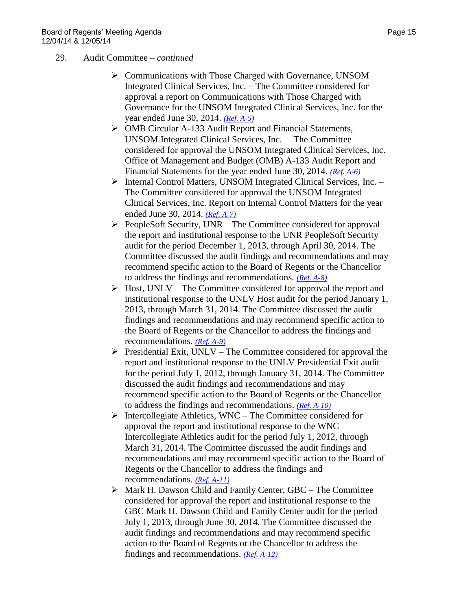### 29. Audit Committee – *continued*

- Communications with Those Charged with Governance, UNSOM Integrated Clinical Services, Inc. – The Committee considered for approval a report on Communications with Those Charged with Governance for the UNSOM Integrated Clinical Services, Inc. for the year ended June 30, 2014. *[\(Ref. A-5\)](http://system.nevada.edu/tasks/sites/Nshe/assets/File/BoardOfRegents/Agendas/2014/dec-mtgs/audit-refs/A-5.pdf)*
- OMB Circular A-133 Audit Report and Financial Statements, UNSOM Integrated Clinical Services, Inc. – The Committee considered for approval the UNSOM Integrated Clinical Services, Inc. Office of Management and Budget (OMB) A-133 Audit Report and Financial Statements for the year ended June 30, 2014. *[\(Ref. A-6\)](http://system.nevada.edu/tasks/sites/Nshe/assets/File/BoardOfRegents/Agendas/2014/dec-mtgs/audit-refs/A-6.pdf)*
- Internal Control Matters, UNSOM Integrated Clinical Services, Inc. The Committee considered for approval the UNSOM Integrated Clinical Services, Inc. Report on Internal Control Matters for the year ended June 30, 2014. *[\(Ref. A-7\)](http://system.nevada.edu/tasks/sites/Nshe/assets/File/BoardOfRegents/Agendas/2014/dec-mtgs/audit-refs/A-7.pdf)*
- $\triangleright$  PeopleSoft Security, UNR The Committee considered for approval the report and institutional response to the UNR PeopleSoft Security audit for the period December 1, 2013, through April 30, 2014. The Committee discussed the audit findings and recommendations and may recommend specific action to the Board of Regents or the Chancellor to address the findings and recommendations. *[\(Ref. A-8\)](http://system.nevada.edu/tasks/sites/Nshe/assets/File/BoardOfRegents/Agendas/2014/dec-mtgs/audit-refs/A-8.pdf)*
- $\triangleright$  Host, UNLV The Committee considered for approval the report and institutional response to the UNLV Host audit for the period January 1, 2013, through March 31, 2014. The Committee discussed the audit findings and recommendations and may recommend specific action to the Board of Regents or the Chancellor to address the findings and recommendations. *[\(Ref. A-9\)](http://system.nevada.edu/tasks/sites/Nshe/assets/File/BoardOfRegents/Agendas/2014/dec-mtgs/audit-refs/A-9.pdf)*
- $\triangleright$  Presidential Exit, UNLV The Committee considered for approval the report and institutional response to the UNLV Presidential Exit audit for the period July 1, 2012, through January 31, 2014. The Committee discussed the audit findings and recommendations and may recommend specific action to the Board of Regents or the Chancellor to address the findings and recommendations. *[\(Ref. A-10\)](http://system.nevada.edu/tasks/sites/Nshe/assets/File/BoardOfRegents/Agendas/2014/dec-mtgs/audit-refs/A-10.pdf)*
- $\triangleright$  Intercollegiate Athletics, WNC The Committee considered for approval the report and institutional response to the WNC Intercollegiate Athletics audit for the period July 1, 2012, through March 31, 2014. The Committee discussed the audit findings and recommendations and may recommend specific action to the Board of Regents or the Chancellor to address the findings and recommendations. *[\(Ref. A-11\)](http://system.nevada.edu/tasks/sites/Nshe/assets/File/BoardOfRegents/Agendas/2014/dec-mtgs/audit-refs/A-11.pdf)*
- $\triangleright$  Mark H. Dawson Child and Family Center, GBC The Committee considered for approval the report and institutional response to the GBC Mark H. Dawson Child and Family Center audit for the period July 1, 2013, through June 30, 2014. The Committee discussed the audit findings and recommendations and may recommend specific action to the Board of Regents or the Chancellor to address the findings and recommendations. *[\(Ref. A-12\)](http://system.nevada.edu/tasks/sites/Nshe/assets/File/BoardOfRegents/Agendas/2014/dec-mtgs/audit-refs/A-12.pdf)*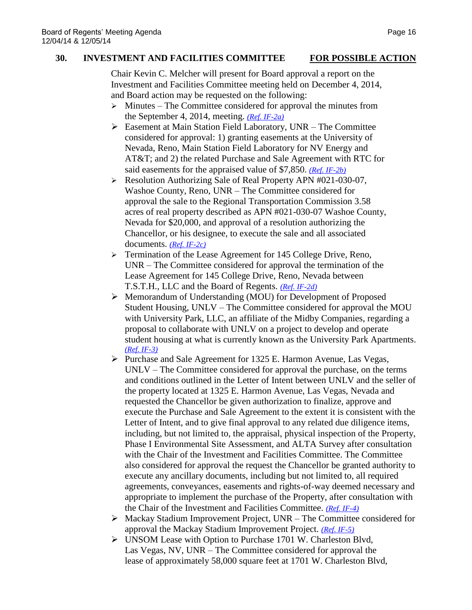## **30. INVESTMENT AND FACILITIES COMMITTEE FOR POSSIBLE ACTION**

Chair Kevin C. Melcher will present for Board approval a report on the Investment and Facilities Committee meeting held on December 4, 2014, and Board action may be requested on the following:

- $\triangleright$  Minutes The Committee considered for approval the minutes from the September 4, 2014, meeting. *[\(Ref. IF-2a\)](http://system.nevada.edu/tasks/sites/Nshe/assets/File/BoardOfRegents/Agendas/2014/dec-mtgs/if-refs/IF-2a.pdf)*
- Easement at Main Station Field Laboratory, UNR The Committee considered for approval: 1) granting easements at the University of Nevada, Reno, Main Station Field Laboratory for NV Energy and AT&T; and 2) the related Purchase and Sale Agreement with RTC for said easements for the appraised value of \$7,850. *[\(Ref. IF-2b\)](http://system.nevada.edu/tasks/sites/Nshe/assets/File/BoardOfRegents/Agendas/2014/dec-mtgs/if-refs/IF-2b.pdf)*
- ▶ Resolution Authority, Salie of Real Property APN #021-030-07, Washoe County, Reno, UNR – The Committee considered for approval the sale to the Regional Transportation Commission 3.58 acres of real property described as APN #021-030-07 Washoe County, Nevada for \$20,000, and approval of a resolution authorizing the Chancellor, or his designee, to execute the sale and all associated documents. *[\(Ref. IF-2c\)](http://system.nevada.edu/tasks/sites/Nshe/assets/File/BoardOfRegents/Agendas/2014/dec-mtgs/if-refs/IF-2c.pdf)*
- > Termination of the Lease Agreement for 145 College Drive, Reno, UNR – The Committee considered for approval the termination of the Lease Agreement for 145 College Drive, Reno, Nevada between T.S.T.H., LLC and the Board of Regents. *[\(Ref. IF-2d\)](http://system.nevada.edu/tasks/sites/Nshe/assets/File/BoardOfRegents/Agendas/2014/dec-mtgs/if-refs/IF-2d.pdf)*
- Memorandum of Understanding (MOU) for Development of Proposed Student Housing, UNLV – The Committee considered for approval the MOU with University Park, LLC, an affiliate of the Midby Companies, regarding a proposal to collaborate with UNLV on a project to develop and operate student housing at what is currently known as the University Park Apartments. *[\(Ref. IF-3\)](http://system.nevada.edu/tasks/sites/Nshe/assets/File/BoardOfRegents/Agendas/2014/dec-mtgs/if-refs/IF-3.pdf)*
- $\triangleright$  Purchase and Sale Agreement for 1325 E. Harmon Avenue, Las Vegas, UNLV – The Committee considered for approval the purchase, on the terms and conditions outlined in the Letter of Intent between UNLV and the seller of the property located at 1325 E. Harmon Avenue, Las Vegas, Nevada and requested the Chancellor be given authorization to finalize, approve and execute the Purchase and Sale Agreement to the extent it is consistent with the Letter of Intent, and to give final approval to any related due diligence items, including, but not limited to, the appraisal, physical inspection of the Property, Phase I Environmental Site Assessment, and ALTA Survey after consultation with the Chair of the Investment and Facilities Committee. The Committee also considered for approval the request the Chancellor be granted authority to execute any ancillary documents, including but not limited to, all required agreements, conveyances, easements and rights-of-way deemed necessary and appropriate to implement the purchase of the Property, after consultation with the Chair of the Investment and Facilities Committee. *[\(Ref. IF-4\)](http://system.nevada.edu/tasks/sites/Nshe/assets/File/BoardOfRegents/Agendas/2014/dec-mtgs/if-refs/IF-4.pdf)*
- Mackay Stadium Improvement Project, UNR The Committee considered for approval the Mackay Stadium Improvement Project. *[\(Ref. IF-5\)](http://system.nevada.edu/tasks/sites/Nshe/assets/File/BoardOfRegents/Agendas/2014/dec-mtgs/if-refs/IF-5.pdf)*
- UNSOM Lease with Option to Purchase 1701 W. Charleston Blvd, Las Vegas, NV, UNR – The Committee considered for approval the lease of approximately 58,000 square feet at 1701 W. Charleston Blvd,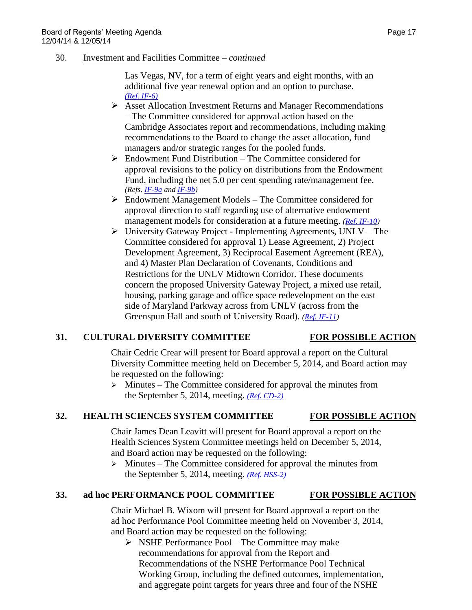30. Investment and Facilities Committee – *continued*

Las Vegas, NV, for a term of eight years and eight months, with an additional five year renewal option and an option to purchase. *[\(Ref. IF-6\)](http://system.nevada.edu/tasks/sites/Nshe/assets/File/BoardOfRegents/Agendas/2014/dec-mtgs/if-refs/IF-6.pdf)*

- Asset Allocation Investment Returns and Manager Recommendations – The Committee considered for approval action based on the Cambridge Associates report and recommendations, including making recommendations to the Board to change the asset allocation, fund managers and/or strategic ranges for the pooled funds.
- $\triangleright$  Endowment Fund Distribution The Committee considered for approval revisions to the policy on distributions from the Endowment Fund, including the net 5.0 per cent spending rate/management fee. *(Refs. [IF-9a](http://system.nevada.edu/tasks/sites/Nshe/assets/File/BoardOfRegents/Agendas/2014/dec-mtgs/if-refs/IF-9a.pdf) and [IF-9b\)](http://system.nevada.edu/tasks/sites/Nshe/assets/File/BoardOfRegents/Agendas/2014/dec-mtgs/if-refs/IF-9b.pdf)*
- $\triangleright$  Endowment Management Models The Committee considered for approval direction to staff regarding use of alternative endowment management models for consideration at a future meeting. *[\(Ref. IF-10\)](http://system.nevada.edu/tasks/sites/Nshe/assets/File/BoardOfRegents/Agendas/2014/dec-mtgs/if-refs/IF-10.pdf)*
- University Gateway Project Implementing Agreements, UNLV The Committee considered for approval 1) Lease Agreement, 2) Project Development Agreement, 3) Reciprocal Easement Agreement (REA), and 4) Master Plan Declaration of Covenants, Conditions and Restrictions for the UNLV Midtown Corridor. These documents concern the proposed University Gateway Project, a mixed use retail, housing, parking garage and office space redevelopment on the east side of Maryland Parkway across from UNLV (across from the Greenspun Hall and south of University Road). *[\(Ref. IF-11\)](http://system.nevada.edu/tasks/sites/Nshe/assets/File/BoardOfRegents/Agendas/2014/dec-mtgs/if-refs/IF-11.pdf)*

### **31. CULTURAL DIVERSITY COMMITTEE FOR POSSIBLE ACTION**

Chair Cedric Crear will present for Board approval a report on the Cultural Diversity Committee meeting held on December 5, 2014, and Board action may be requested on the following:

 $\triangleright$  Minutes – The Committee considered for approval the minutes from the September 5, 2014, meeting. *[\(Ref. CD-2\)](http://system.nevada.edu/tasks/sites/Nshe/assets/File/BoardOfRegents/Agendas/2014/dec-mtgs/cd-refs/CD-2.pdf)*

# **32. HEALTH SCIENCES SYSTEM COMMITTEE FOR POSSIBLE ACTION**

Chair James Dean Leavitt will present for Board approval a report on the Health Sciences System Committee meetings held on December 5, 2014, and Board action may be requested on the following:

 $\triangleright$  Minutes – The Committee considered for approval the minutes from the September 5, 2014, meeting. *[\(Ref. HSS-2\)](http://system.nevada.edu/tasks/sites/Nshe/assets/File/BoardOfRegents/Agendas/2014/dec-mtgs/hss-refs/HSS-2.pdf)*

### **33. ad hoc PERFORMANCE POOL COMMITTEE FOR POSSIBLE ACTION**

Chair Michael B. Wixom will present for Board approval a report on the ad hoc Performance Pool Committee meeting held on November 3, 2014, and Board action may be requested on the following:

 $\triangleright$  NSHE Performance Pool – The Committee may make recommendations for approval from the Report and Recommendations of the NSHE Performance Pool Technical Working Group, including the defined outcomes, implementation, and aggregate point targets for years three and four of the NSHE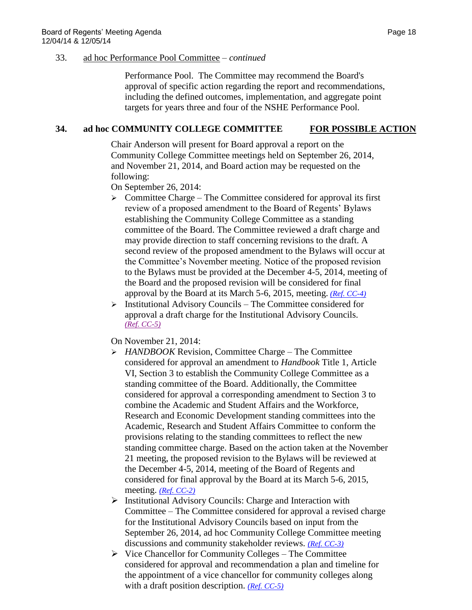### 33. ad hoc Performance Pool Committee – *continued*

Performance Pool. The Committee may recommend the Board's approval of specific action regarding the report and recommendations, including the defined outcomes, implementation, and aggregate point targets for years three and four of the NSHE Performance Pool.

# **34. ad hoc COMMUNITY COLLEGE COMMITTEE FOR POSSIBLE ACTION**

Chair Anderson will present for Board approval a report on the Community College Committee meetings held on September 26, 2014, and November 21, 2014, and Board action may be requested on the following:

On September 26, 2014:

- $\triangleright$  Committee Charge The Committee considered for approval its first review of a proposed amendment to the Board of Regents' Bylaws establishing the Community College Committee as a standing committee of the Board. The Committee reviewed a draft charge and may provide direction to staff concerning revisions to the draft. A second review of the proposed amendment to the Bylaws will occur at the Committee's November meeting. Notice of the proposed revision to the Bylaws must be provided at the December 4-5, 2014, meeting of the Board and the proposed revision will be considered for final approval by the Board at its March 5-6, 2015, meeting. *[\(Ref. CC-4\)](http://system.nevada.edu/tasks/sites/Nshe/assets/File/BoardOfRegents/Agendas/2014/sep-mtgs/cc-refs/CC-4.pdf)*
- $\triangleright$  Institutional Advisory Councils The Committee considered for approval a draft charge for the Institutional Advisory Councils. *[\(Ref. CC-5\)](http://system.nevada.edu/tasks/sites/Nshe/assets/File/BoardOfRegents/Agendas/2014/sep-mtgs/cc-refs/CC-5.pdf)*

On November 21, 2014:

- *HANDBOOK* Revision, Committee Charge The Committee considered for approval an amendment to *Handbook* Title 1, Article VI, Section 3 to establish the Community College Committee as a standing committee of the Board. Additionally, the Committee considered for approval a corresponding amendment to Section 3 to combine the Academic and Student Affairs and the Workforce, Research and Economic Development standing committees into the Academic, Research and Student Affairs Committee to conform the provisions relating to the standing committees to reflect the new standing committee charge. Based on the action taken at the November 21 meeting, the proposed revision to the Bylaws will be reviewed at the December 4-5, 2014, meeting of the Board of Regents and considered for final approval by the Board at its March 5-6, 2015, meeting. *[\(Ref. CC-2\)](http://system.nevada.edu/tasks/sites/Nshe/assets/File/BoardOfRegents/Agendas/2014/nov-mtgs/cc-refs/CC-2.pdf)*
- $\triangleright$  Institutional Advisory Councils: Charge and Interaction with Committee – The Committee considered for approval a revised charge for the Institutional Advisory Councils based on input from the September 26, 2014, ad hoc Community College Committee meeting discussions and community stakeholder reviews. *[\(Ref. CC-3\)](http://system.nevada.edu/tasks/sites/Nshe/assets/File/BoardOfRegents/Agendas/2014/nov-mtgs/cc-refs/CC-3.pdf)*
- $\triangleright$  Vice Chancellor for Community Colleges The Committee considered for approval and recommendation a plan and timeline for the appointment of a vice chancellor for community colleges along with a draft position description. *[\(Ref. CC-5\)](http://system.nevada.edu/tasks/sites/Nshe/assets/File/BoardOfRegents/Agendas/2014/nov-mtgs/cc-refs/CC-5.pdf)*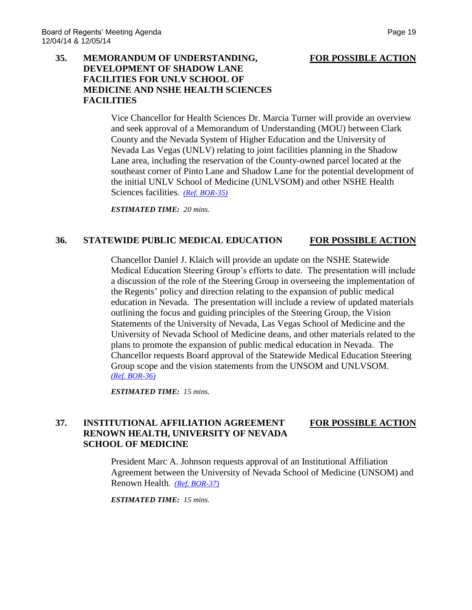## **35. MEMORANDUM OF UNDERSTANDING, FOR POSSIBLE ACTION DEVELOPMENT OF SHADOW LANE FACILITIES FOR UNLV SCHOOL OF MEDICINE AND NSHE HEALTH SCIENCES FACILITIES**

Vice Chancellor for Health Sciences Dr. Marcia Turner will provide an overview and seek approval of a Memorandum of Understanding (MOU) between Clark County and the Nevada System of Higher Education and the University of Nevada Las Vegas (UNLV) relating to joint facilities planning in the Shadow Lane area, including the reservation of the County-owned parcel located at the southeast corner of Pinto Lane and Shadow Lane for the potential development of the initial UNLV School of Medicine (UNLVSOM) and other NSHE Health Sciences facilities*. [\(Ref. BOR-35\)](http://system.nevada.edu/tasks/sites/Nshe/assets/File/BoardOfRegents/Agendas/2014/dec-mtgs/bor-refs/35.pdf)*

*ESTIMATED TIME: 20 mins.*

### **36. STATEWIDE PUBLIC MEDICAL EDUCATION FOR POSSIBLE ACTION**

Chancellor Daniel J. Klaich will provide an update on the NSHE Statewide Medical Education Steering Group's efforts to date. The presentation will include a discussion of the role of the Steering Group in overseeing the implementation of the Regents' policy and direction relating to the expansion of public medical education in Nevada. The presentation will include a review of updated materials outlining the focus and guiding principles of the Steering Group, the Vision Statements of the University of Nevada, Las Vegas School of Medicine and the University of Nevada School of Medicine deans, and other materials related to the plans to promote the expansion of public medical education in Nevada. The Chancellor requests Board approval of the Statewide Medical Education Steering Group scope and the vision statements from the UNSOM and UNLVSOM. *[\(Ref. BOR-36\)](http://system.nevada.edu/tasks/sites/Nshe/assets/File/BoardOfRegents/Agendas/2014/dec-mtgs/bor-refs/36.pdf)*

*ESTIMATED TIME: 15 mins.*

## **37. INSTITUTIONAL AFFILIATION AGREEMENT FOR POSSIBLE ACTION RENOWN HEALTH, UNIVERSITY OF NEVADA SCHOOL OF MEDICINE**

President Marc A. Johnson requests approval of an Institutional Affiliation Agreement between the University of Nevada School of Medicine (UNSOM) and Renown Health*. [\(Ref. BOR-37\)](http://system.nevada.edu/tasks/sites/Nshe/assets/File/BoardOfRegents/Agendas/2014/dec-mtgs/bor-refs/37.pdf)*

*ESTIMATED TIME: 15 mins.*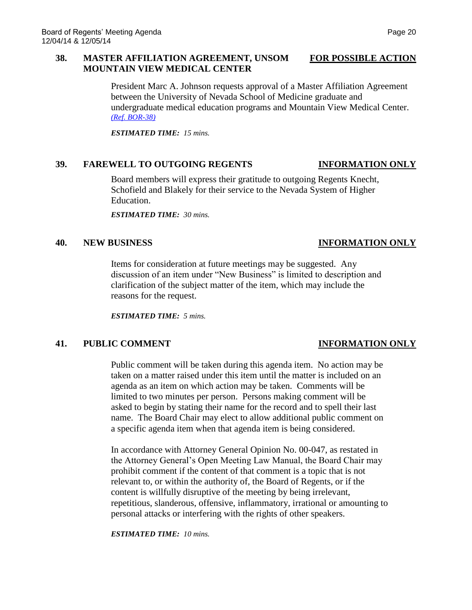### **38. MASTER AFFILIATION AGREEMENT, UNSOM FOR POSSIBLE ACTION MOUNTAIN VIEW MEDICAL CENTER**

President Marc A. Johnson requests approval of a Master Affiliation Agreement between the University of Nevada School of Medicine graduate and undergraduate medical education programs and Mountain View Medical Center. *[\(Ref. BOR-38\)](http://system.nevada.edu/tasks/sites/Nshe/assets/File/BoardOfRegents/Agendas/2014/dec-mtgs/bor-refs/38.pdf)*

*ESTIMATED TIME: 15 mins.*

### **39. FAREWELL TO OUTGOING REGENTS INFORMATION ONLY**

Board members will express their gratitude to outgoing Regents Knecht, Schofield and Blakely for their service to the Nevada System of Higher Education.

*ESTIMATED TIME: 30 mins.*

### **40. NEW BUSINESS INFORMATION ONLY**

# Items for consideration at future meetings may be suggested. Any discussion of an item under "New Business" is limited to description and clarification of the subject matter of the item, which may include the reasons for the request.

*ESTIMATED TIME: 5 mins.*

# **41. PUBLIC COMMENT INFORMATION ONLY**

Public comment will be taken during this agenda item. No action may be taken on a matter raised under this item until the matter is included on an agenda as an item on which action may be taken. Comments will be limited to two minutes per person. Persons making comment will be asked to begin by stating their name for the record and to spell their last name. The Board Chair may elect to allow additional public comment on a specific agenda item when that agenda item is being considered.

In accordance with Attorney General Opinion No. 00-047, as restated in the Attorney General's Open Meeting Law Manual, the Board Chair may prohibit comment if the content of that comment is a topic that is not relevant to, or within the authority of, the Board of Regents, or if the content is willfully disruptive of the meeting by being irrelevant, repetitious, slanderous, offensive, inflammatory, irrational or amounting to personal attacks or interfering with the rights of other speakers.

*ESTIMATED TIME: 10 mins.*